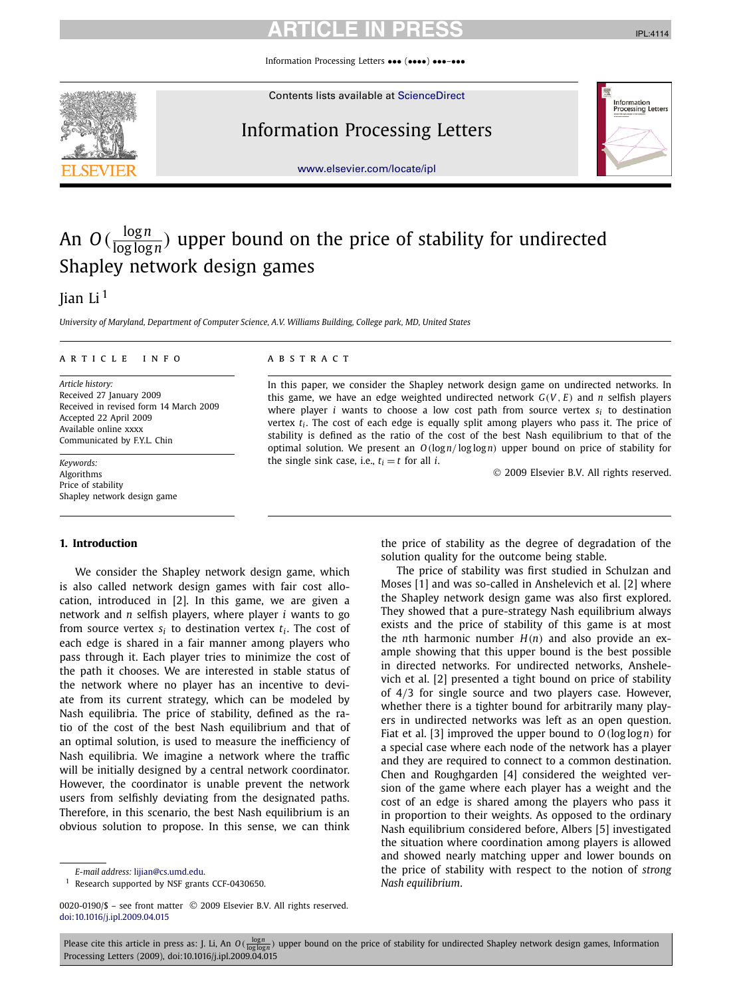# **ARTICLE IN PRESS IN EXAMPLE AND READER**

Information Processing Letters ••• (••••) •••–•••

Contents lists available at [ScienceDirect](http://www.ScienceDirect.com/)

### Information Processing Letters



[www.elsevier.com/locate/ipl](http://www.elsevier.com/locate/ipl)

# An  $O(\frac{\log n}{\log \log n})$  upper bound on the price of stability for undirected Shapley network design games

### Jian Li $<sup>1</sup>$ </sup>

*University of Maryland, Department of Computer Science, A.V. Williams Building, College park, MD, United States*

#### article info abstract

*Article history:* Received 27 January 2009 Received in revised form 14 March 2009 Accepted 22 April 2009 Available online xxxx Communicated by F.Y.L. Chin

*Keywords:* Algorithms Price of stability Shapley network design game

#### **1. Introduction**

We consider the Shapley network design game, which is also called network design games with fair cost allocation, introduced in [2]. In this game, we are given a network and *n* selfish players, where player *i* wants to go from source vertex  $s_i$  to destination vertex  $t_i$ . The cost of each edge is shared in a fair manner among players who pass through it. Each player tries to minimize the cost of the path it chooses. We are interested in stable status of the network where no player has an incentive to deviate from its current strategy, which can be modeled by Nash equilibria. The price of stability, defined as the ratio of the cost of the best Nash equilibrium and that of an optimal solution, is used to measure the inefficiency of Nash equilibria. We imagine a network where the traffic will be initially designed by a central network coordinator. However, the coordinator is unable prevent the network users from selfishly deviating from the designated paths. Therefore, in this scenario, the best Nash equilibrium is an obvious solution to propose. In this sense, we can think

*E-mail address:* [lijian@cs.umd.edu](mailto:lijian@cs.umd.edu).

<sup>1</sup> Research supported by NSF grants CCF-0430650.

In this paper, we consider the Shapley network design game on undirected networks. In this game, we have an edge weighted undirected network  $G(V, E)$  and *n* selfish players where player *i* wants to choose a low cost path from source vertex  $s_i$  to destination vertex  $t_i$ . The cost of each edge is equally split among players who pass it. The price of stability is defined as the ratio of the cost of the best Nash equilibrium to that of the optimal solution. We present an *O(*log*n/* log log*n)* upper bound on price of stability for the single sink case, i.e.,  $t_i = t$  for all *i*.

© 2009 Elsevier B.V. All rights reserved.

the price of stability as the degree of degradation of the solution quality for the outcome being stable.

The price of stability was first studied in Schulzan and Moses [1] and was so-called in Anshelevich et al. [2] where the Shapley network design game was also first explored. They showed that a pure-strategy Nash equilibrium always exists and the price of stability of this game is at most the *n*th harmonic number *H(n)* and also provide an example showing that this upper bound is the best possible in directed networks. For undirected networks, Anshelevich et al. [2] presented a tight bound on price of stability of 4*/*3 for single source and two players case. However, whether there is a tighter bound for arbitrarily many players in undirected networks was left as an open question. Fiat et al. [3] improved the upper bound to *O(*log log*n)* for a special case where each node of the network has a player and they are required to connect to a common destination. Chen and Roughgarden [4] considered the weighted version of the game where each player has a weight and the cost of an edge is shared among the players who pass it in proportion to their weights. As opposed to the ordinary Nash equilibrium considered before, Albers [5] investigated the situation where coordination among players is allowed and showed nearly matching upper and lower bounds on the price of stability with respect to the notion of *strong Nash equilibrium*.

Please cite this article in press as: J. Li, An  $O(\frac{\log\log n}{\log\log n})$  upper bound on the price of stability for undirected Shapley network design games, Information Processing Letters (2009), doi:10.1016/j.ipl.2009.04.015

<sup>0020-0190/\$ –</sup> see front matter © 2009 Elsevier B.V. All rights reserved. [doi:10.1016/j.ipl.2009.04.015](http://dx.doi.org/10.1016/j.ipl.2009.04.015)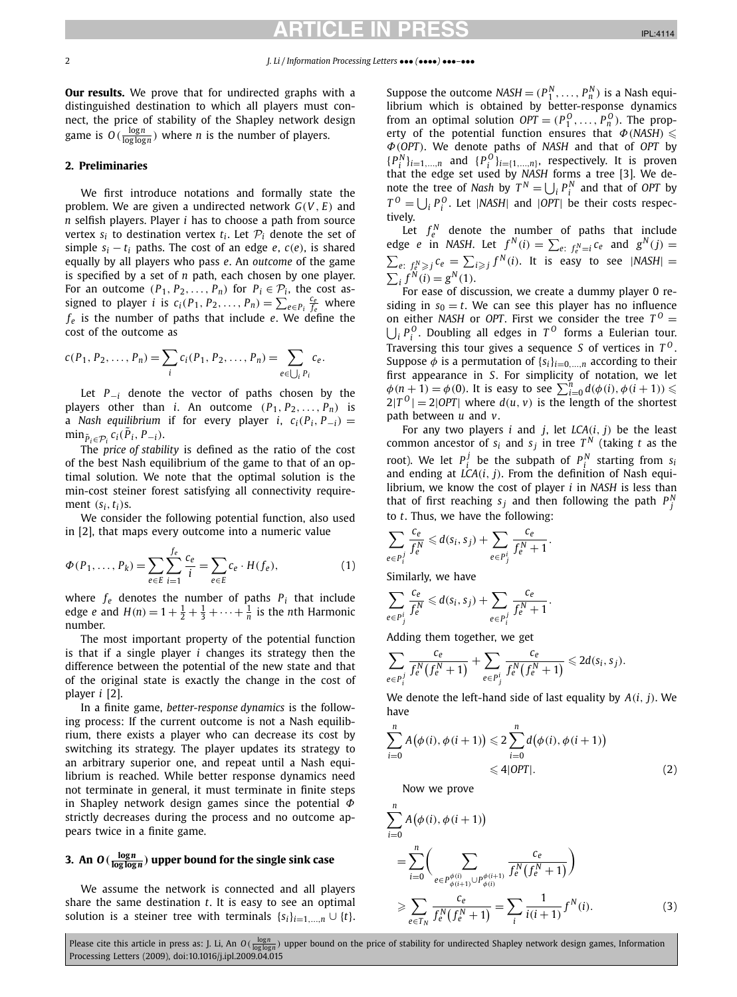## **ARTICLE IN PRESS IN EXAMPLE AND READER**

**Our results.** We prove that for undirected graphs with a distinguished destination to which all players must connect, the price of stability of the Shapley network design game is  $O(\frac{\log n}{\log \log n})$  where *n* is the number of players.

### **2. Preliminaries**

We first introduce notations and formally state the problem. We are given a undirected network *G(V , E)* and *n* selfish players. Player *i* has to choose a path from source vertex  $s_i$  to destination vertex  $t_i$ . Let  $\mathcal{P}_i$  denote the set of simple  $s_i - t_i$  paths. The cost of an edge *e*,  $c(e)$ , is shared equally by all players who pass *e*. An *outcome* of the game is specified by a set of *n* path, each chosen by one player. For an outcome  $(P_1, P_2, \ldots, P_n)$  for  $P_i \in \mathcal{P}_i$ , the cost assigned to player *i* is  $c_i(P_1, P_2, \ldots, P_n) = \sum_{e \in P_i} \frac{c_e}{f_e}$  where *fe* is the number of paths that include *e*. We define the cost of the outcome as

$$
c(P_1, P_2, \ldots, P_n) = \sum_i c_i(P_1, P_2, \ldots, P_n) = \sum_{e \in \bigcup_i P_i} c_e.
$$

Let *P*−*<sup>i</sup>* denote the vector of paths chosen by the players other than *i*. An outcome  $(P_1, P_2, \ldots, P_n)$  is a *Nash equilibrium* if for every player *i*,  $c_i(P_i, P_{-i}) =$  $\min_{\tilde{P}_i \in \mathcal{P}_i} c_i(\tilde{P}_i, P_{-i}).$ 

The *price of stability* is defined as the ratio of the cost of the best Nash equilibrium of the game to that of an optimal solution. We note that the optimal solution is the min-cost steiner forest satisfying all connectivity requirement  $(s_i, t_i)$ s.

We consider the following potential function, also used in [2], that maps every outcome into a numeric value

$$
\Phi(P_1, ..., P_k) = \sum_{e \in E} \sum_{i=1}^{f_e} \frac{c_e}{i} = \sum_{e \in E} c_e \cdot H(f_e),
$$
 (1)

where *fe* denotes the number of paths *Pi* that include edge *e* and  $H(n) = 1 + \frac{1}{2} + \frac{1}{3} + \cdots + \frac{1}{n}$  is the *n*th Harmonic number.

The most important property of the potential function is that if a single player *i* changes its strategy then the difference between the potential of the new state and that of the original state is exactly the change in the cost of player *i* [2].

In a finite game, *better-response dynamics* is the following process: If the current outcome is not a Nash equilibrium, there exists a player who can decrease its cost by switching its strategy. The player updates its strategy to an arbitrary superior one, and repeat until a Nash equilibrium is reached. While better response dynamics need not terminate in general, it must terminate in finite steps in Shapley network design games since the potential *Φ* strictly decreases during the process and no outcome appears twice in a finite game.

### **3.** An  $O(\frac{\log n}{\log \log n})$  upper bound for the single sink case

We assume the network is connected and all players share the same destination *t*. It is easy to see an optimal solution is a steiner tree with terminals  ${s_i}_{i=1,...,n} \cup {t}$ .

Suppose the outcome  $NASH = (P_1^N, \ldots, P_n^N)$  is a Nash equilibrium which is obtained by better-response dynamics from an optimal solution  $OPT = (P_1^0, \ldots, P_n^0)$ . The property of the potential function ensures that  $\Phi$ (*NASH*)  $\leq$ *Φ(OPT)*. We denote paths of *NASH* and that of *OPT* by  ${P_i^N}_{i=1,\dots,n}$  and  ${P_i^O}_{i=1,\dots,n}$ , respectively. It is proven that the edge set used by *NASH* forms a tree [3]. We denote the tree of *Nash* by  $T^N = \bigcup_i P_i^N$  and that of *OPT* by  $T^O = \bigcup_i P_i^O$ . Let |*NASH*| and |*OPT*| be their costs respectively.

Let  $f_e^N$  denote the number of paths that include edge *e* in *NASH*. Let  $f^N(i) = \sum_{e: f^N_e = i} c_e$  and  $g^N(j) =$  $\sum_{e: f_e^N \geq j} c_e = \sum_{i \geq j} f^N(i)$ . It is easy to see |*NASH*| =  $\sum_i f^N(i) = g^N(1)$ .

For ease of discussion, we create a dummy player 0 residing in  $s_0 = t$ . We can see this player has no influence on either *NASH* or *OPT*. First we consider the tree  $T^0 =$  $\bigcup_i P_i^O$ . Doubling all edges in  $T^O$  forms a Eulerian tour. Traversing this tour gives a sequence *S* of vertices in  $T^0$ . Suppose  $\phi$  is a permutation of  $\{s_i\}_{i=0,\dots,n}$  according to their first appearance in *S*. For simplicity of notation, we let  $\phi(n+1) = \phi(0)$ . It is easy to see  $\sum_{i=0}^{n} d(\phi(i), \phi(i+1)) \le$  $2|T^0| = 2|OPT|$  where  $d(u, v)$  is the length of the shortest path between *u* and *v*.

For any two players  $i$  and  $j$ , let  $LCA(i, j)$  be the least common ancestor of  $s_i$  and  $s_j$  in tree  $T^N$  (taking *t* as the root). We let  $P_i^j$  be the subpath of  $P_i^N$  starting from  $s_i$ and ending at *LCA(i, j)*. From the definition of Nash equilibrium, we know the cost of player *i* in *NASH* is less than that of first reaching  $s_j$  and then following the path  $P_j^N$ to *t*. Thus, we have the following:

$$
\sum_{e \in P_i^j} \frac{c_e}{f_e^N} \leq d(s_i, s_j) + \sum_{e \in P_j^i} \frac{c_e}{f_e^N + 1}.
$$

Similarly, we have

$$
\sum_{e \in P_i^i} \frac{c_e}{f_e^N} \leq d(s_i, s_j) + \sum_{e \in P_i^i} \frac{c_e}{f_e^N + 1}.
$$

Adding them together, we get

$$
\sum_{e \in P_i^j} \frac{c_e}{f_e^N(f_e^N+1)} + \sum_{e \in P_i^j} \frac{c_e}{f_e^N(f_e^N+1)} \leq 2d(s_i,s_j).
$$

We denote the left-hand side of last equality by *A(i, j)*. We have

$$
\sum_{i=0}^{n} A(\phi(i), \phi(i+1)) \leq 2 \sum_{i=0}^{n} d(\phi(i), \phi(i+1))
$$
  
 $\leq 4|OPT|.$  (2)

Now we prove

$$
\sum_{i=0}^{n} A(\phi(i), \phi(i+1))
$$
\n
$$
= \sum_{i=0}^{n} \left( \sum_{e \in P_{\phi(i+1)}^{\phi(i)}} \frac{c_e}{f_e^N(f_e^N + 1)} \right)
$$
\n
$$
\geq \sum_{e \in T_N} \frac{c_e}{f_e^N(f_e^N + 1)} = \sum_{i} \frac{1}{i(i+1)} f^N(i).
$$
\n(3)

Please cite this article in press as: J. Li, An  $O(\frac{\log\log n}{\log\log n})$  upper bound on the price of stability for undirected Shapley network design games, Information Processing Letters (2009), doi:10.1016/j.ipl.2009.04.015